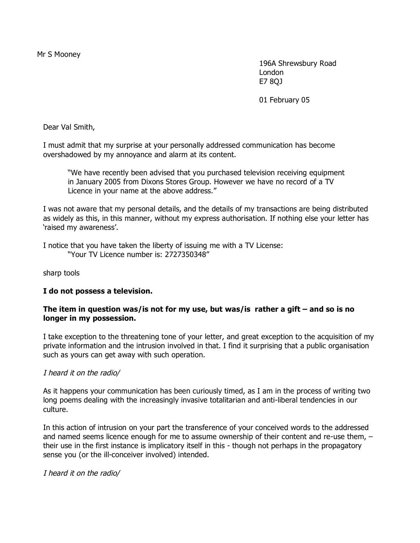196A Shrewsbury Road London E7 8QJ

01 February 05

Dear Val Smith,

I must admit that my surprise at your personally addressed communication has become overshadowed by my annoyance and alarm at its content.

"We have recently been advised that you purchased television receiving equipment in January 2005 from Dixons Stores Group. However we have no record of a TV Licence in your name at the above address."

I was not aware that my personal details, and the details of my transactions are being distributed as widely as this, in this manner, without my express authorisation. If nothing else your letter has 'raised my awareness'.

I notice that you have taken the liberty of issuing me with a TV License: "Your TV Licence number is: 2727350348"

sharp tools

# **I do not possess a television.**

## **The item in question was/is not for my use, but was/is rather a gift – and so is no longer in my possession.**

I take exception to the threatening tone of your letter, and great exception to the acquisition of my private information and the intrusion involved in that. I find it surprising that a public organisation such as yours can get away with such operation.

# I heard it on the radio/

As it happens your communication has been curiously timed, as I am in the process of writing two long poems dealing with the increasingly invasive totalitarian and anti-liberal tendencies in our culture.

In this action of intrusion on your part the transference of your conceived words to the addressed and named seems licence enough for me to assume ownership of their content and re-use them,  $$ their use in the first instance is implicatory itself in this - though not perhaps in the propagatory sense you (or the ill-conceiver involved) intended.

I heard it on the radio/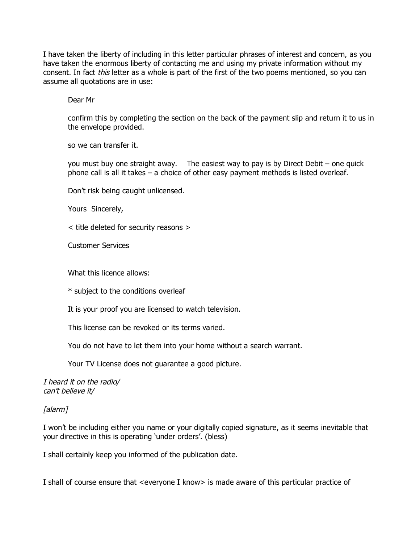I have taken the liberty of including in this letter particular phrases of interest and concern, as you have taken the enormous liberty of contacting me and using my private information without my consent. In fact *this* letter as a whole is part of the first of the two poems mentioned, so you can assume all quotations are in use:

Dear Mr

confirm this by completing the section on the back of the payment slip and return it to us in the envelope provided.

so we can transfer it.

you must buy one straight away. The easiest way to pay is by Direct Debit – one quick phone call is all it takes – a choice of other easy payment methods is listed overleaf.

Don't risk being caught unlicensed.

Yours Sincerely,

< title deleted for security reasons >

Customer Services

What this licence allows:

\* subject to the conditions overleaf

It is your proof you are licensed to watch television.

This license can be revoked or its terms varied.

You do not have to let them into your home without a search warrant.

Your TV License does not guarantee a good picture.

I heard it on the radio/ can't believe it/

[alarm]

I won't be including either you name or your digitally copied signature, as it seems inevitable that your directive in this is operating 'under orders'. (bless)

I shall certainly keep you informed of the publication date.

I shall of course ensure that <everyone I know> is made aware of this particular practice of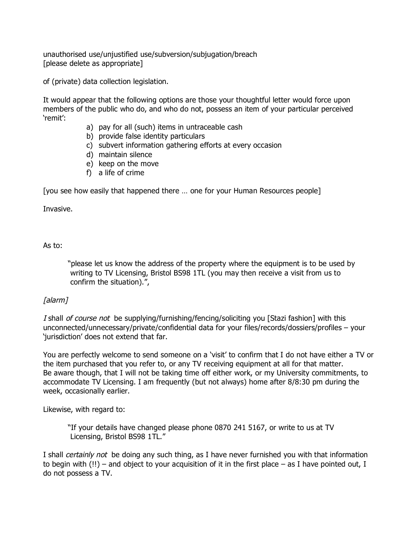unauthorised use/unjustified use/subversion/subjugation/breach [please delete as appropriate]

of (private) data collection legislation.

It would appear that the following options are those your thoughtful letter would force upon members of the public who do, and who do not, possess an item of your particular perceived 'remit':

- a) pay for all (such) items in untraceable cash
- b) provide false identity particulars
- c) subvert information gathering efforts at every occasion
- d) maintain silence
- e) keep on the move
- f) a life of crime

[you see how easily that happened there … one for your Human Resources people]

Invasive.

# As to:

"please let us know the address of the property where the equipment is to be used by writing to TV Licensing, Bristol BS98 1TL (you may then receive a visit from us to confirm the situation).",

# [alarm]

I shall of course not be supplying/furnishing/fencing/soliciting you [Stazi fashion] with this unconnected/unnecessary/private/confidential data for your files/records/dossiers/profiles – your 'jurisdiction' does not extend that far.

You are perfectly welcome to send someone on a 'visit' to confirm that I do not have either a TV or the item purchased that you refer to, or any TV receiving equipment at all for that matter. Be aware though, that I will not be taking time off either work, or my University commitments, to accommodate TV Licensing. I am frequently (but not always) home after 8/8:30 pm during the week, occasionally earlier.

Likewise, with regard to:

"If your details have changed please phone 0870 241 5167, or write to us at TV Licensing, Bristol BS98 1TL."

I shall certainly not be doing any such thing, as I have never furnished you with that information to begin with  $(!!)$  – and object to your acquisition of it in the first place – as I have pointed out, I do not possess a TV.